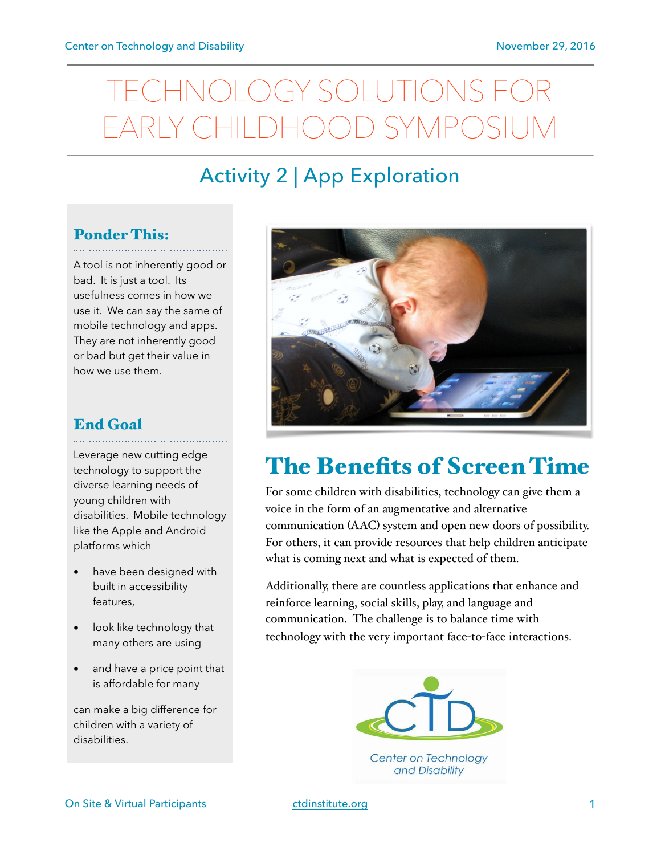# OLOGY SOLUTIONS EARLY CHILDHOOD SYMPOSIUM

## Activity 2 | App Exploration

### Ponder This:

A tool is not inherently good or bad. It is just a tool. Its usefulness comes in how we use it. We can say the same of mobile technology and apps. They are not inherently good or bad but get their value in how we use them.

#### End Goal

Leverage new cutting edge technology to support the diverse learning needs of young children with disabilities. Mobile technology like the Apple and Android platforms which

- have been designed with built in accessibility features,
- look like technology that many others are using
- and have a price point that is affordable for many

can make a big difference for children with a variety of disabilities.



# The Benefits of Screen Time

For some children with disabilities, technology can give them a voice in the form of an augmentative and alternative communication (AAC) system and open new doors of possibility. For others, it can provide resources that help children anticipate what is coming next and what is expected of them.

Additionally, there are countless applications that enhance and reinforce learning, social skills, play, and language and communication. The challenge is to balance time with technology with the very important face-to-face interactions.



Center on Technology and Disability